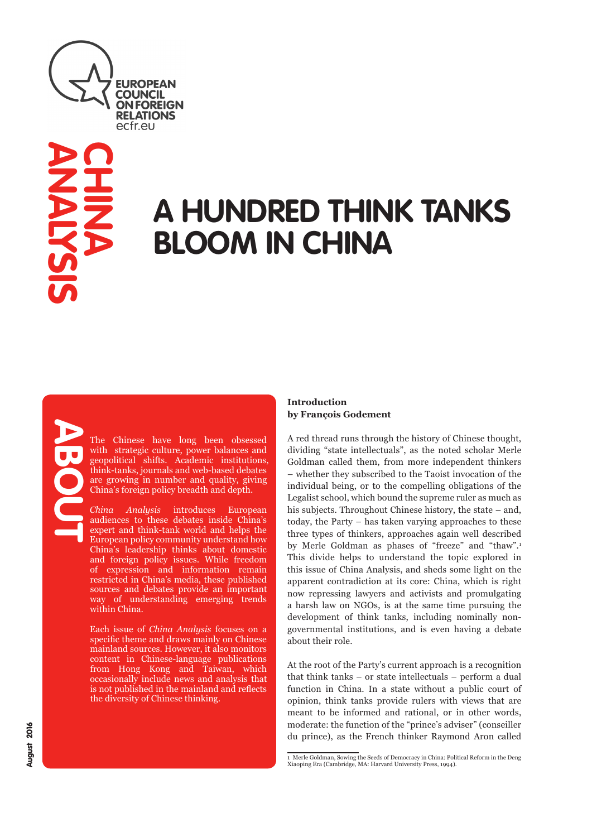

# **A HUNDRED THINK TANKS BLOOM IN CHINA**

The Chinese have long been obsessed with strategic culture, power balances and geopolitical shifts. Academic institutions, think-tanks, journals and web-based debates are growing in number and quality, giving China's foreign policy breadth and depth.

*China Analysis* introduces European audiences to these debates inside China's expert and think-tank world and helps the European policy community understand how China's leadership thinks about domestic and foreign policy issues. While freedom of expression and information remain restricted in China's media, these published sources and debates provide an important way of understanding emerging trends within China.

Each issue of *China Analysis* focuses on a specific theme and draws mainly on Chinese mainland sources. However, it also monitors content in Chinese-language publications from Hong Kong and Taiwan, which occasionally include news and analysis that is not published in the mainland and reflects the diversity of Chinese thinking.

### **Introduction by François Godement**

A red thread runs through the history of Chinese thought, dividing "state intellectuals", as the noted scholar Merle Goldman called them, from more independent thinkers – whether they subscribed to the Taoist invocation of the individual being, or to the compelling obligations of the Legalist school, which bound the supreme ruler as much as his subjects. Throughout Chinese history, the state – and, today, the Party – has taken varying approaches to these three types of thinkers, approaches again well described by Merle Goldman as phases of "freeze" and "thaw".<sup>1</sup> This divide helps to understand the topic explored in this issue of China Analysis, and sheds some light on the apparent contradiction at its core: China, which is right now repressing lawyers and activists and promulgating a harsh law on NGOs, is at the same time pursuing the development of think tanks, including nominally nongovernmental institutions, and is even having a debate about their role.

At the root of the Party's current approach is a recognition that think tanks – or state intellectuals – perform a dual function in China. In a state without a public court of opinion, think tanks provide rulers with views that are meant to be informed and rational, or in other words, moderate: the function of the "prince's adviser" (conseiller du prince), as the French thinker Raymond Aron called

<sup>1</sup> Merle Goldman, Sowing the Seeds of Democracy in China: Political Reform in the Deng Xiaoping Era (Cambridge, MA: Harvard University Press, 1994).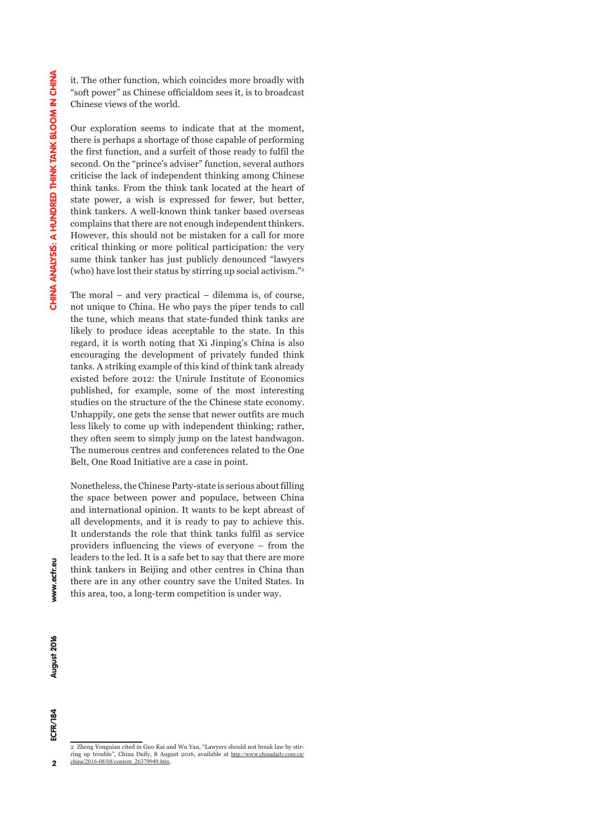it. The other function, which coincides more broadly with "soft power" as Chinese officialdom sees it, is to broadcast Chinese views of the world.

Our exploration seems to indicate that at the moment, there is perhaps a shortage of those capable of performing the first function, and a surfeit of those ready to fulfil the second. On the "prince's adviser" function, several authors criticise the lack of independent thinking among Chinese think tanks. From the think tank located at the heart of state power, a wish is expressed for fewer, but better, think tankers. A well-known think tanker based overseas complains that there are not enough independent thinkers. However, this should not be mistaken for a call for more critical thinking or more political participation: the very same think tanker has just publicly denounced "lawyers (who) have lost their status by stirring up social activism."2

The moral – and very practical – dilemma is, of course, not unique to China. He who pays the piper tends to call the tune, which means that state-funded think tanks are likely to produce ideas acceptable to the state. In this regard, it is worth noting that Xi Jinping's China is also encouraging the development of privately funded think tanks. A striking example of this kind of think tank already existed before 2012: the Unirule Institute of Economics published, for example, some of the most interesting studies on the structure of the the Chinese state economy. Unhappily, one gets the sense that newer outfits are much less likely to come up with independent thinking; rather, they often seem to simply jump on the latest bandwagon. The numerous centres and conferences related to the One Belt, One Road Initiative are a case in point.

Nonetheless, the Chinese Party-state is serious about filling the space between power and populace, between China and international opinion. It wants to be kept abreast of all developments, and it is ready to pay to achieve this. It understands the role that think tanks fulfil as service providers influencing the views of everyone – from the leaders to the led. It is a safe bet to say that there are more think tankers in Beijing and other centres in China than there are in any other country save the United States. In this area, too, a long-term competition is under way.

 $\overline{2}$ 

ECFR/184

<sup>2</sup> Zheng Yongnian cited in Guo Kai and Wu Yan, "Lawyers should not break law by stirring up trouble", China Daily, 8 August 2016, available at http://www.chinadaily.com.cn/ china/2016-08/08/content\_26379949.htm.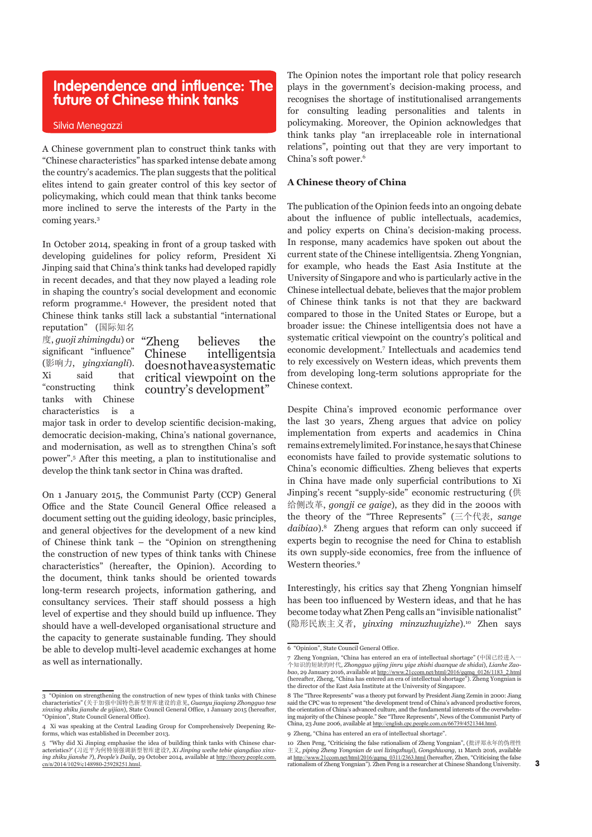### **Independence and influence: The future of Chinese think tanks**

#### Silvia Menegazzi

A Chinese government plan to construct think tanks with "Chinese characteristics" has sparked intense debate among the country's academics. The plan suggests that the political elites intend to gain greater control of this key sector of policymaking, which could mean that think tanks become more inclined to serve the interests of the Party in the coming years.3

In October 2014, speaking in front of a group tasked with developing guidelines for policy reform, President Xi Jinping said that China's think tanks had developed rapidly in recent decades, and that they now played a leading role in shaping the country's social development and economic reform programme.4 However, the president noted that Chinese think tanks still lack a substantial "international reputation" (国际知名

度, *guoji zhimingdu*) or significant "influence" (影响力, *yingxiangli*). Xi said that "constructing think tanks with Chinese characteristics is a

believes the Chinese intelligentsia does not have a systematic critical viewpoint on the country's development"

major task in order to develop scientific decision-making, democratic decision-making, China's national governance, and modernisation, as well as to strengthen China's soft power".5 After this meeting, a plan to institutionalise and develop the think tank sector in China was drafted.

On 1 January 2015, the Communist Party (CCP) General Office and the State Council General Office released a document setting out the guiding ideology, basic principles, and general objectives for the development of a new kind of Chinese think tank – the "Opinion on strengthening the construction of new types of think tanks with Chinese characteristics" (hereafter, the Opinion). According to the document, think tanks should be oriented towards long-term research projects, information gathering, and consultancy services. Their staff should possess a high level of expertise and they should build up influence. They should have a well-developed organisational structure and the capacity to generate sustainable funding. They should be able to develop multi-level academic exchanges at home as well as internationally.

The Opinion notes the important role that policy research plays in the government's decision-making process, and recognises the shortage of institutionalised arrangements for consulting leading personalities and talents in policymaking. Moreover, the Opinion acknowledges that think tanks play "an irreplaceable role in international relations", pointing out that they are very important to China's soft power.6

### **A Chinese theory of China**

The publication of the Opinion feeds into an ongoing debate about the influence of public intellectuals, academics, and policy experts on China's decision-making process. In response, many academics have spoken out about the current state of the Chinese intelligentsia. Zheng Yongnian, for example, who heads the East Asia Institute at the University of Singapore and who is particularly active in the Chinese intellectual debate, believes that the major problem of Chinese think tanks is not that they are backward compared to those in the United States or Europe, but a broader issue: the Chinese intelligentsia does not have a systematic critical viewpoint on the country's political and economic development.7 Intellectuals and academics tend to rely excessively on Western ideas, which prevents them from developing long-term solutions appropriate for the Chinese context.

Despite China's improved economic performance over the last 30 years, Zheng argues that advice on policy implementation from experts and academics in China remains extremely limited. For instance, he says that Chinese economists have failed to provide systematic solutions to China's economic difficulties. Zheng believes that experts in China have made only superficial contributions to Xi Jinping's recent "supply-side" economic restructuring (供 给侧改革, *gongji ce gaige*), as they did in the 2000s with the theory of the "Three Represents" (三个代表, *sange daibiao*).8 Zheng argues that reform can only succeed if experts begin to recognise the need for China to establish its own supply-side economics, free from the influence of Western theories.9

Interestingly, his critics say that Zheng Yongnian himself has been too influenced by Western ideas, and that he has become today what Zhen Peng calls an "invisible nationalist" (隐形民族主义者, *yinxing minzuzhuyizhe*).10 Zhen says

<sup>3 &</sup>quot;Opinion on strengthening the construction of new types of think tanks with Chinese characteristics" (关于加强中国特色新型智库建设的意见, *Guanyu jiaqiang Zhongguo tese xinxing zhiku jianshe de yijian*), State Council General Office, 1 January 2015 (hereafter, "Opinion", State Council General Office).

<sup>4</sup> Xi was speaking at the Central Leading Group for Comprehensively Deepening Reforms, which was established in December 2013.

<sup>5 &</sup>quot;Why did Xi Jinping emphasise the idea of building think tanks with Chinese char-acteristics?' (习近平为何特别强调新型智库建设?, *Xi Jinping weihe tebie qiangdiao xinxing zhiku jianshe ?*), *People's Daily,* 29 October 2014, available at http://theory.people.com. cn/n/2014/1029/c148980-25928251.html.

<sup>6 &</sup>quot;Opinion", State Council General Office.

<sup>7</sup> Zheng Yongnian, "China has entered an era of intellectual shortage" (中国已经进入一个知识的短时时代, *Zhongguo yijing jinru yige zhishi duanque de shidai), Lianhe Zaoboo, 29 J*anner 2006, available at http://www.21ccom.ne/thml/2016/gq the director of the East Asia Institute at the University of Singapore.

<sup>8</sup> The "Three Represents" was a theory put forward by President Jiang Zemin in 2000: Jiang said the CPC was to represent "the development trend of China's advanced productive forces, the orientation of China's advanced culture, and the fundamental interests of the overwhelming majority of the Chinese people." See "Three Represents", News of the Communist Party of China, 23 June 2006, available at http://english.cpc.people.com.cn/66739/4521344.html.

<sup>9</sup> Zheng, "China has entered an era of intellectual shortage".

<sup>10</sup> Zhen Peng, "Criticising the false rationalism of Zheng Yongnian", (批评郑永年的伪理性 主义, *piping Zheng Yongnian de wei lixingzhuyi*), *Gongshiwang*, 11 March 2016, available at http://www.21ccom.net/html/2016/gqmq\_0311/2363.html (hereafter, Zhen, "Criticising the false<br>rationalism of Zheng Yongnian"). Zhen Peng is a researcher at Chinese Shandong University.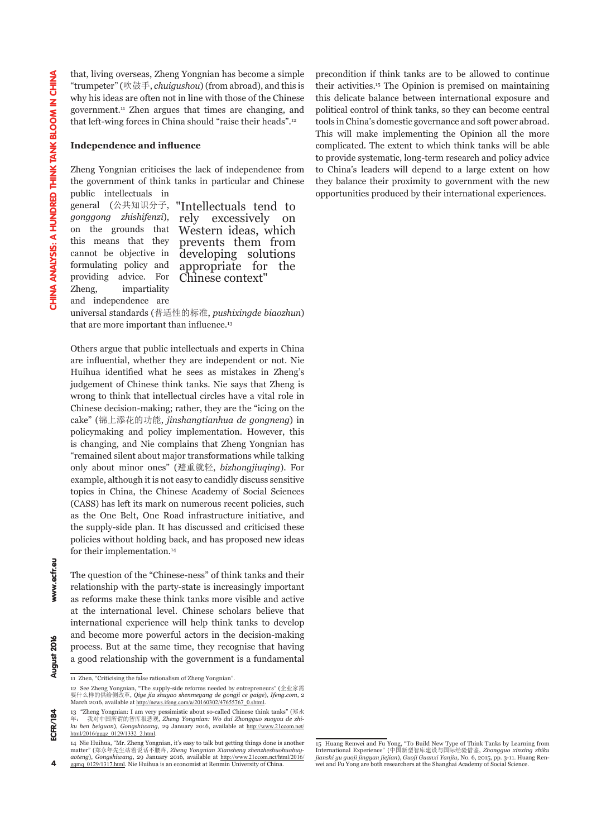that, living overseas, Zheng Yongnian has become a simple "trumpeter" (吹鼓手, *chuigushou*) (from abroad), and this is why his ideas are often not in line with those of the Chinese government.11 Zhen argues that times are changing, and that left-wing forces in China should "raise their heads".12

#### **Independence and influence**

Zheng Yongnian criticises the lack of independence from the government of think tanks in particular and Chinese public intellectuals in

general (公共知识分子, *gonggong zhishifenzi*), on the grounds that this means that they cannot be objective in formulating policy and providing advice. For Zheng, impartiality

"Intellectuals tend to excessively Western ideas, which prevents them from developing solutions appropriate for the Chinese context"

and independence are

universal standards (普适性的标准, *pushixingde biaozhun*) that are more important than influence.<sup>13</sup>

Others argue that public intellectuals and experts in China are influential, whether they are independent or not. Nie Huihua identified what he sees as mistakes in Zheng's judgement of Chinese think tanks. Nie says that Zheng is wrong to think that intellectual circles have a vital role in Chinese decision-making; rather, they are the "icing on the cake" (锦上添花的功能, *jinshangtianhua de gongneng*) in policymaking and policy implementation. However, this is changing, and Nie complains that Zheng Yongnian has "remained silent about major transformations while talking only about minor ones" (避重就轻, *bizhongjiuqing*). For example, although it is not easy to candidly discuss sensitive topics in China, the Chinese Academy of Social Sciences (CASS) has left its mark on numerous recent policies, such as the One Belt, One Road infrastructure initiative, and the supply-side plan. It has discussed and criticised these policies without holding back, and has proposed new ideas for their implementation.<sup>14</sup>

The question of the "Chinese-ness" of think tanks and their relationship with the party-state is increasingly important as reforms make these think tanks more visible and active at the international level. Chinese scholars believe that international experience will help think tanks to develop and become more powerful actors in the decision-making process. But at the same time, they recognise that having a good relationship with the government is a fundamental precondition if think tanks are to be allowed to continue their activities.15 The Opinion is premised on maintaining this delicate balance between international exposure and political control of think tanks, so they can become central tools in China's domestic governance and soft power abroad. This will make implementing the Opinion all the more complicated. The extent to which think tanks will be able to provide systematic, long-term research and policy advice to China's leaders will depend to a large extent on how they balance their proximity to government with the new opportunities produced by their international experiences.

 $184$ 

www.ecfr.eu

August 2016

<sup>11</sup> Zhen, "Criticising the false rationalism of Zheng Yongnian".

<sup>12</sup> See Zheng Yongnian, "The supply-side reforms needed by entrepreneurs" (企业家需 要什么样的供给侧改革, *Qiye jia shuyao shenmeyang de gongji ce gaige*), *Ifeng.com*, 2 March 2016, available at http://news.ifeng.com/a/20160302/47655767\_0.shtml

<sup>13 &</sup>quot;Zheng Yongnian: I am very pessimistic about so-called Chinese think tanks" (郑永 年: 我对中国所谓的智库很悲观, *Zheng Yongnian: Wo dui Zhongguo suoyou de zhi-ku hen beiguan*), *Gongshiwang*, 29 January 2016, available at http://www.21ccom.net/ html/2016/ggqz\_0129/1332\_2.html.

<sup>14</sup> Nie Huihua, "Mr. Zheng Yongnian, it's easy to talk but getting things done is another matter" (郑永年先生站着说话不腰疼, *Zheng Yongnian Xiansheng zhenzheshuohuabuyaoteng*), *Gongshiwang*, 29 January 2016, available at http://www.21ccom.net/html/2016/ gamq\_0129/1317.html. Nie Huihua is an economist at Renmin University of China.

<sup>15</sup> Huang Renwei and Fu Yong, "To Build New Type of Think Tanks by Learning from International Experience" (中国新型智库建设与国际经验借鉴, *Zhongguo xinxing zhiku jianshi yu guoji jingyan jiejian*), *Guoji Guanxi Yanjiu*, No. 6, 2015, pp. 3-11. Huang Ren-wei and Fu Yong are both researchers at the Shanghai Academy of Social Science.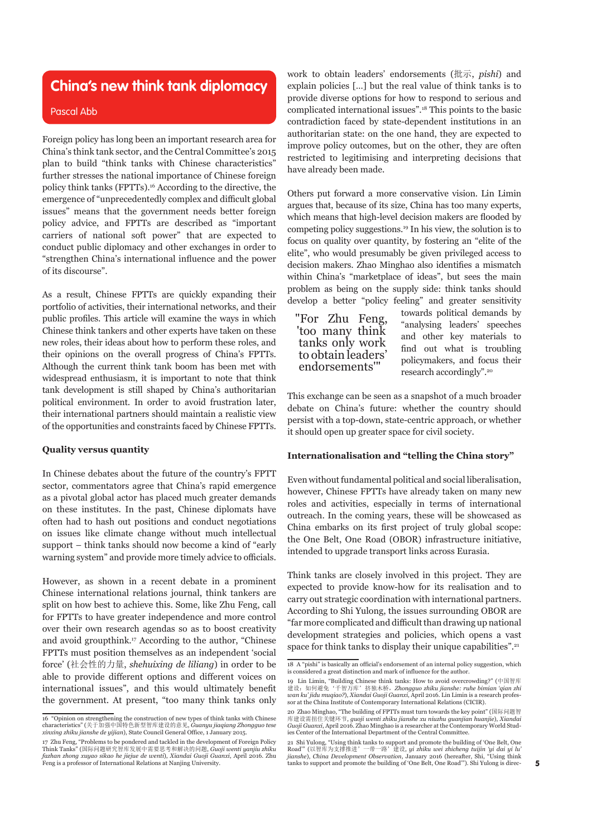### **China's new think tank diplomacy**

#### Pascal Abb

Foreign policy has long been an important research area for China's think tank sector, and the Central Committee's 2015 plan to build "think tanks with Chinese characteristics" further stresses the national importance of Chinese foreign policy think tanks (FPTTs).16 According to the directive, the emergence of "unprecedentedly complex and difficult global issues" means that the government needs better foreign policy advice, and FPTTs are described as "important carriers of national soft power" that are expected to conduct public diplomacy and other exchanges in order to "strengthen China's international influence and the power of its discourse".

As a result, Chinese FPTTs are quickly expanding their portfolio of activities, their international networks, and their public profiles. This article will examine the ways in which Chinese think tankers and other experts have taken on these new roles, their ideas about how to perform these roles, and their opinions on the overall progress of China's FPTTs. Although the current think tank boom has been met with widespread enthusiasm, it is important to note that think tank development is still shaped by China's authoritarian political environment. In order to avoid frustration later, their international partners should maintain a realistic view of the opportunities and constraints faced by Chinese FPTTs.

### **Quality versus quantity**

In Chinese debates about the future of the country's FPTT sector, commentators agree that China's rapid emergence as a pivotal global actor has placed much greater demands on these institutes. In the past, Chinese diplomats have often had to hash out positions and conduct negotiations on issues like climate change without much intellectual support – think tanks should now become a kind of "early warning system" and provide more timely advice to officials.

However, as shown in a recent debate in a prominent Chinese international relations journal, think tankers are split on how best to achieve this. Some, like Zhu Feng, call for FPTTs to have greater independence and more control over their own research agendas so as to boost creativity and avoid groupthink.17 According to the author, "Chinese FPTTs must position themselves as an independent 'social force' (社会性的力量, *shehuixing de liliang*) in order to be able to provide different options and different voices on international issues", and this would ultimately benefit the government. At present, "too many think tanks only

work to obtain leaders' endorsements (批示, *pishi*) and explain policies […] but the real value of think tanks is to provide diverse options for how to respond to serious and complicated international issues".18 This points to the basic contradiction faced by state-dependent institutions in an authoritarian state: on the one hand, they are expected to improve policy outcomes, but on the other, they are often restricted to legitimising and interpreting decisions that have already been made.

Others put forward a more conservative vision. Lin Limin argues that, because of its size, China has too many experts, which means that high-level decision makers are flooded by competing policy suggestions.19 In his view, the solution is to focus on quality over quantity, by fostering an "elite of the elite", who would presumably be given privileged access to decision makers. Zhao Minghao also identifies a mismatch within China's "marketplace of ideas", but sees the main problem as being on the supply side: think tanks should develop a better "policy feeling" and greater sensitivity

"For Zhu Feng, 'too many think tanks only work to obtain leaders' endorsements'"

towards political demands by "analysing leaders' speeches and other key materials to find out what is troubling policymakers, and focus their research accordingly".20

This exchange can be seen as a snapshot of a much broader debate on China's future: whether the country should persist with a top-down, state-centric approach, or whether it should open up greater space for civil society.

### **Internationalisation and "telling the China story"**

Even without fundamental political and social liberalisation, however, Chinese FPTTs have already taken on many new roles and activities, especially in terms of international outreach. In the coming years, these will be showcased as China embarks on its first project of truly global scope: the One Belt, One Road (OBOR) infrastructure initiative, intended to upgrade transport links across Eurasia.

Think tanks are closely involved in this project. They are expected to provide know-how for its realisation and to carry out strategic coordination with international partners. According to Shi Yulong, the issues surrounding OBOR are "far more complicated and difficult than drawing up national development strategies and policies, which opens a vast space for think tanks to display their unique capabilities".<sup>21</sup>

<sup>16 &</sup>quot;Opinion on strengthening the construction of new types of think tanks with Chinese characteristics" (关于加强中国特色新型智库建设的意见, *Guanyu jiaqiang Zhongguo tese xinxing zhiku jianshe de yijian*), State Council General Office, 1 January 2015.

<sup>17</sup> Zhu Feng, "Problems to be pondered and tackled in the development of Foreign Policy<br>Think Tanks" (国际问题研究智库发展中需要思考和解决的问题, Guoji wenti yanjiu zhiku<br>fazhan zhong xuyao sikao he jiejue de wenti), Xiandai Guoji Guanxi, Apr Feng is a professor of International Relations at Nanjing University.

<sup>18</sup> A "pishi" is basically an official's endorsement of an internal policy suggestion, which is considered a great distinction and mark of influence for the author.

<sup>19</sup> Lin Limin, "Building Chinese think tanks: How to avoid overcrowding?" (中国智库 建设:如何避免'千智万库'挤独木桥,*Zhongguo zhiku jianshe: ruhe bimian 'qian zhi wan ku' jidu muqiao?*), *Xiandai Guoji Guanxi*, April 2016. Lin Limin is a research professor at the China Institute of Contemporary International Relations (CICIR).

<sup>20</sup> Zhao Minghao, "The building of FPTTs must turn towards the key point" (国际问题智 库建设需扭住关键环节, *guoji wenti zhiku jianshe xu niuzhu guanjian huanjie*), *Xiandai Guoji Guanxi*, April 2016. Zhao Minghao is a researcher at the Contemporary World Studies Center of the International Department of the Central Committee.

<sup>21</sup> Shi Yulong, "Using think tanks to support and promote the building of 'One Belt, One Road'" (以智库为支撑推进,一带一路,建设 ui zhiku uwi zhichena tujiin 'ui dai ui hi Road'" (以智库为支撑推进'一带一路'建设, *yi zhiku wei zhicheng tuijin 'yi dai yi lu' jianshe*), *China Development Observation*, January 2016 (hereafter, Shi, "Using think tanks to support and promote the building of 'One Belt, One Road'"). Shi Yulong is direc-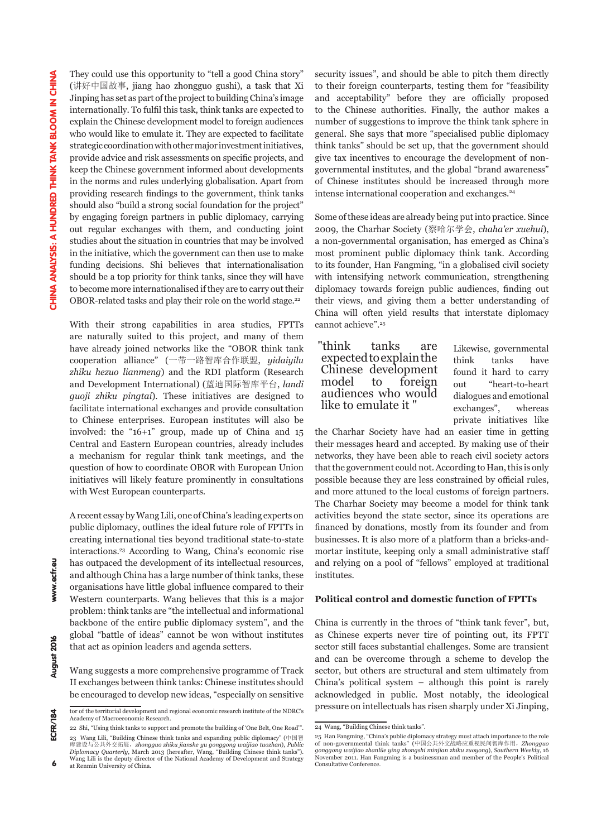They could use this opportunity to "tell a good China story" (讲好中国故事, jiang hao zhongguo gushi), a task that Xi Jinping has set as part of the project to building China's image internationally. To fulfil this task, think tanks are expected to explain the Chinese development model to foreign audiences who would like to emulate it. They are expected to facilitate strategic coordination with other major investment initiatives, provide advice and risk assessments on specific projects, and keep the Chinese government informed about developments in the norms and rules underlying globalisation. Apart from providing research findings to the government, think tanks should also "build a strong social foundation for the project" by engaging foreign partners in public diplomacy, carrying out regular exchanges with them, and conducting joint studies about the situation in countries that may be involved in the initiative, which the government can then use to make funding decisions. Shi believes that internationalisation should be a top priority for think tanks, since they will have to become more internationalised if they are to carry out their OBOR-related tasks and play their role on the world stage.<sup>22</sup>

With their strong capabilities in area studies, FPTTs are naturally suited to this project, and many of them have already joined networks like the "OBOR think tank cooperation alliance" (一带一路智库合作联盟, *yidaiyilu zhiku hezuo lianmeng*) and the RDI platform (Research and Development International) (蓝迪国际智库平台, *landi guoji zhiku pingtai*). These initiatives are designed to facilitate international exchanges and provide consultation to Chinese enterprises. European institutes will also be involved: the "16+1" group, made up of China and 15 Central and Eastern European countries, already includes a mechanism for regular think tank meetings, and the question of how to coordinate OBOR with European Union initiatives will likely feature prominently in consultations with West European counterparts.

A recent essay by Wang Lili, one of China's leading experts on public diplomacy, outlines the ideal future role of FPTTs in creating international ties beyond traditional state-to-state interactions.23 According to Wang, China's economic rise has outpaced the development of its intellectual resources, and although China has a large number of think tanks, these organisations have little global influence compared to their Western counterparts. Wang believes that this is a major problem: think tanks are "the intellectual and informational backbone of the entire public diplomacy system", and the global "battle of ideas" cannot be won without institutes that act as opinion leaders and agenda setters.

Wang suggests a more comprehensive programme of Track II exchanges between think tanks: Chinese institutes should be encouraged to develop new ideas, "especially on sensitive

security issues", and should be able to pitch them directly to their foreign counterparts, testing them for "feasibility and acceptability" before they are officially proposed to the Chinese authorities. Finally, the author makes a number of suggestions to improve the think tank sphere in general. She says that more "specialised public diplomacy think tanks" should be set up, that the government should give tax incentives to encourage the development of nongovernmental institutes, and the global "brand awareness" of Chinese institutes should be increased through more intense international cooperation and exchanges.<sup>24</sup>

Some of these ideas are already being put into practice. Since 2009, the Charhar Society (察哈尔学会, *chaha'er xuehui*), a non-governmental organisation, has emerged as China's most prominent public diplomacy think tank. According to its founder, Han Fangming, "in a globalised civil society with intensifying network communication, strengthening diplomacy towards foreign public audiences, finding out their views, and giving them a better understanding of China will often yield results that interstate diplomacy cannot achieve".<sup>25</sup>

"think tanks are expected to explain the Chinese development model to foreign audiences who would like to emulate it "

Likewise, governmental think tanks have found it hard to carry out "heart-to-heart dialogues and emotional exchanges", whereas private initiatives like

the Charhar Society have had an easier time in getting their messages heard and accepted. By making use of their networks, they have been able to reach civil society actors that the government could not. According to Han, this is only possible because they are less constrained by official rules, and more attuned to the local customs of foreign partners. The Charhar Society may become a model for think tank activities beyond the state sector, since its operations are financed by donations, mostly from its founder and from businesses. It is also more of a platform than a bricks-andmortar institute, keeping only a small administrative staff and relying on a pool of "fellows" employed at traditional institutes.

### **Political control and domestic function of FPTTs**

China is currently in the throes of "think tank fever", but, as Chinese experts never tire of pointing out, its FPTT sector still faces substantial challenges. Some are transient and can be overcome through a scheme to develop the sector, but others are structural and stem ultimately from China's political system – although this point is rarely acknowledged in public. Most notably, the ideological pressure on intellectuals has risen sharply under Xi Jinping,

tor of the territorial development and regional economic research institute of the NDRC's Academy of Macroeconomic Research.

<sup>22</sup> Shi, "Using think tanks to support and promote the building of 'One Belt, One Road'". 23 Wang Lili, "Building Chinese think tanks and expanding public diplomacy" (中国智 https://www.com/waiting.com/waiting.com/waiting.com/waijiao tuozhan), *Public* 建设与公共外交拓展,zhongguo zhiku jianshe yu gonggong waijiao tuozhan), Public *Diplomacy Quarterly*, March 2013 (hereafter, Wang, "Building Chinese think tanks"). Wang Lili is the deputy director of the National Academy of Development and Strategy

<sup>6</sup> at Renmin University of China.

<sup>24</sup> Wang, "Building Chinese think tanks".

<sup>25</sup> Han Fangming, "China's public diplomacy strategy must attach importance to the role of non-governmental think tanks" (中国公共外交战略应重视民间智库作用,*Zhongguo gonggong waijiao zhanlüe ying zhongshi minjian zhiku zuoyong*), *Southern Weekly*, 16 November 2011. Han Fangming is a businessman and member of the People's Political Consultative Conference.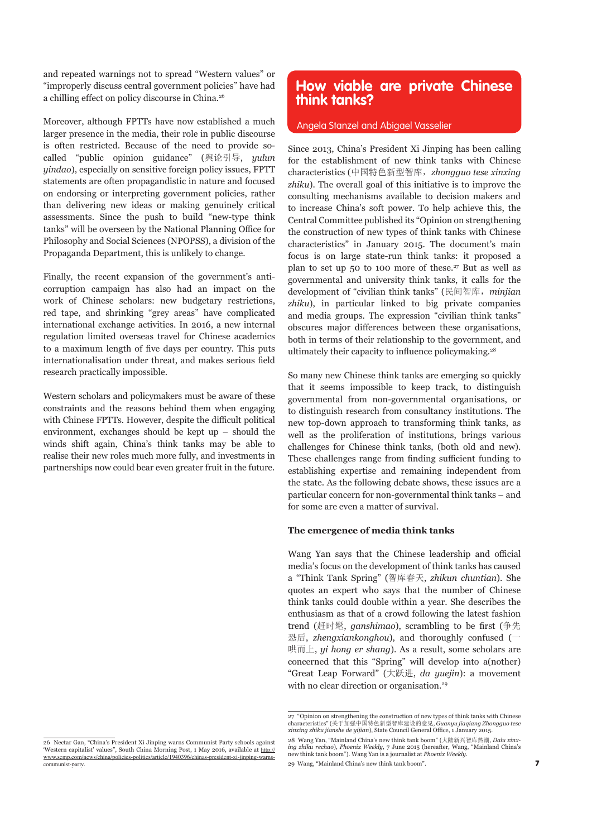and repeated warnings not to spread "Western values" or "improperly discuss central government policies" have had a chilling effect on policy discourse in China.<sup>26</sup>

Moreover, although FPTTs have now established a much larger presence in the media, their role in public discourse is often restricted. Because of the need to provide socalled "public opinion guidance" (舆论引导, *yulun yindao*), especially on sensitive foreign policy issues, FPTT statements are often propagandistic in nature and focused on endorsing or interpreting government policies, rather than delivering new ideas or making genuinely critical assessments. Since the push to build "new-type think tanks" will be overseen by the National Planning Office for Philosophy and Social Sciences (NPOPSS), a division of the Propaganda Department, this is unlikely to change.

Finally, the recent expansion of the government's anticorruption campaign has also had an impact on the work of Chinese scholars: new budgetary restrictions, red tape, and shrinking "grey areas" have complicated international exchange activities. In 2016, a new internal regulation limited overseas travel for Chinese academics to a maximum length of five days per country. This puts internationalisation under threat, and makes serious field research practically impossible.

Western scholars and policymakers must be aware of these constraints and the reasons behind them when engaging with Chinese FPTTs. However, despite the difficult political environment, exchanges should be kept up – should the winds shift again, China's think tanks may be able to realise their new roles much more fully, and investments in partnerships now could bear even greater fruit in the future.

### **How viable are private Chinese think tanks?**

### Angela Stanzel and Abigael Vasselier

Since 2013, China's President Xi Jinping has been calling for the establishment of new think tanks with Chinese characteristics (中国特色新型智库,*zhongguo tese xinxing zhiku*). The overall goal of this initiative is to improve the consulting mechanisms available to decision makers and to increase China's soft power. To help achieve this, the Central Committee published its "Opinion on strengthening the construction of new types of think tanks with Chinese characteristics" in January 2015. The document's main focus is on large state-run think tanks: it proposed a plan to set up 50 to 100 more of these.<sup>27</sup> But as well as governmental and university think tanks, it calls for the development of "civilian think tanks" (民间智库,*minjian zhiku*), in particular linked to big private companies and media groups. The expression "civilian think tanks" obscures major differences between these organisations, both in terms of their relationship to the government, and ultimately their capacity to influence policymaking.<sup>28</sup>

So many new Chinese think tanks are emerging so quickly that it seems impossible to keep track, to distinguish governmental from non-governmental organisations, or to distinguish research from consultancy institutions. The new top-down approach to transforming think tanks, as well as the proliferation of institutions, brings various challenges for Chinese think tanks, (both old and new). These challenges range from finding sufficient funding to establishing expertise and remaining independent from the state. As the following debate shows, these issues are a particular concern for non-governmental think tanks – and for some are even a matter of survival.

### **The emergence of media think tanks**

Wang Yan says that the Chinese leadership and official media's focus on the development of think tanks has caused a "Think Tank Spring" (智库春天, *zhikun chuntian*). She quotes an expert who says that the number of Chinese think tanks could double within a year. She describes the enthusiasm as that of a crowd following the latest fashion trend (赶时髦, *ganshimao*), scrambling to be first (争先 恐后, *zhengxiankonghou*), and thoroughly confused (一 哄而上, *yi hong er shang*). As a result, some scholars are concerned that this "Spring" will develop into a(nother) "Great Leap Forward" (大跃进, *da yuejin*): a movement with no clear direction or organisation.<sup>29</sup>

<sup>27 &</sup>quot;Opinion on strengthening the construction of new types of think tanks with Chinese characteristics" (关于加强中国特色新型智库建设的意见, *Guanyu jiaqiang Zhongguo tese xinxing zhiku jianshe de yijian*), State Council General Office, 1 January 2015.

<sup>28</sup> Wang Yan, "Mainland China's new think tank boom" (大陆新兴智库热潮, *Dalu xinxing zhiku rechao*), *Phoenix Weekly*, 7 June 2015 (hereafter, Wang, "Mainland China's new think tank boom"). Wang Yan is a journalist at *Phoenix Weekly*.

<sup>29</sup> Wang, "Mainland China's new think tank boom".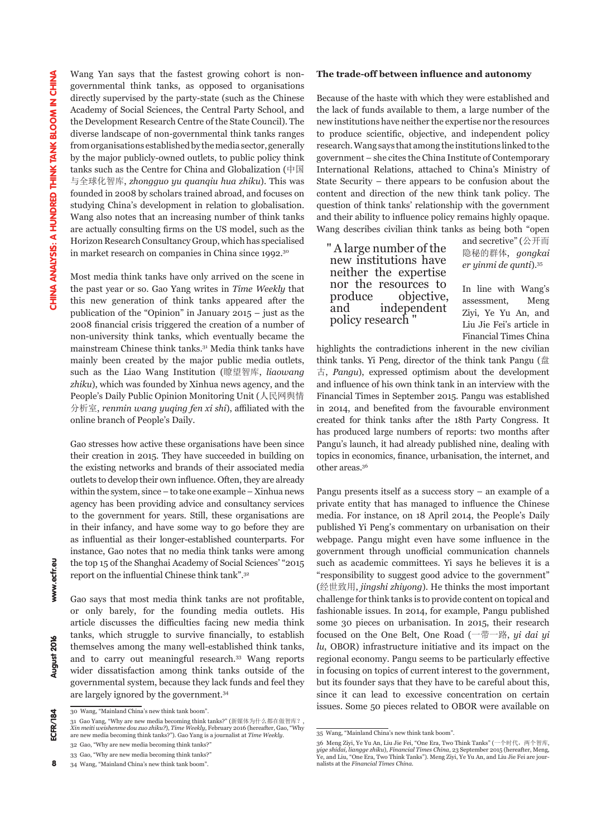Wang Yan says that the fastest growing cohort is nongovernmental think tanks, as opposed to organisations directly supervised by the party-state (such as the Chinese Academy of Social Sciences, the Central Party School, and the Development Research Centre of the State Council). The diverse landscape of non-governmental think tanks ranges from organisations established by the media sector, generally by the major publicly-owned outlets, to public policy think tanks such as the Centre for China and Globalization (中国 与全球化智库, *zhongguo yu quanqiu hua zhiku*). This was founded in 2008 by scholars trained abroad, and focuses on studying China's development in relation to globalisation. Wang also notes that an increasing number of think tanks are actually consulting firms on the US model, such as the Horizon Research Consultancy Group, which has specialised in market research on companies in China since 1992.30

Most media think tanks have only arrived on the scene in the past year or so. Gao Yang writes in *Time Weekly* that this new generation of think tanks appeared after the publication of the "Opinion" in January 2015 – just as the 2008 financial crisis triggered the creation of a number of non-university think tanks, which eventually became the mainstream Chinese think tanks.31 Media think tanks have mainly been created by the major public media outlets, such as the Liao Wang Institution (瞭望智库, *liaowang zhiku*), which was founded by Xinhua news agency, and the People's Daily Public Opinion Monitoring Unit (人民网舆情 分析室, *renmin wang yuqing fen xi shi*), affiliated with the online branch of People's Daily.

Gao stresses how active these organisations have been since their creation in 2015. They have succeeded in building on the existing networks and brands of their associated media outlets to develop their own influence. Often, they are already within the system, since – to take one example – Xinhua news agency has been providing advice and consultancy services to the government for years. Still, these organisations are in their infancy, and have some way to go before they are as influential as their longer-established counterparts. For instance, Gao notes that no media think tanks were among the top 15 of the Shanghai Academy of Social Sciences' "2015 report on the influential Chinese think tank".<sup>32</sup>

Gao says that most media think tanks are not profitable, or only barely, for the founding media outlets. His article discusses the difficulties facing new media think tanks, which struggle to survive financially, to establish themselves among the many well-established think tanks, and to carry out meaningful research.33 Wang reports wider dissatisfaction among think tanks outside of the governmental system, because they lack funds and feel they are largely ignored by the government.34

Because of the haste with which they were established and the lack of funds available to them, a large number of the new institutions have neither the expertise nor the resources to produce scientific, objective, and independent policy research. Wang says that among the institutions linked to the government – she cites the China Institute of Contemporary International Relations, attached to China's Ministry of State Security – there appears to be confusion about the content and direction of the new think tank policy. The question of think tanks' relationship with the government and their ability to influence policy remains highly opaque. Wang describes civilian think tanks as being both "open

" A large number of the new institutions have neither the expertise nor the resources to produce objective, and independent policy research "

and secretive" (公开而 隐秘的群体, *gongkai er yinmi de qunti*).35

In line with Wang's assessment, Meng Ziyi, Ye Yu An, and Liu Jie Fei's article in Financial Times China

highlights the contradictions inherent in the new civilian think tanks. Yi Peng, director of the think tank Pangu (盘 古, *Pangu*), expressed optimism about the development and influence of his own think tank in an interview with the Financial Times in September 2015. Pangu was established in 2014, and benefited from the favourable environment created for think tanks after the 18th Party Congress. It has produced large numbers of reports: two months after Pangu's launch, it had already published nine, dealing with topics in economics, finance, urbanisation, the internet, and other areas.36

Pangu presents itself as a success story – an example of a private entity that has managed to influence the Chinese media. For instance, on 18 April 2014, the People's Daily published Yi Peng's commentary on urbanisation on their webpage. Pangu might even have some influence in the government through unofficial communication channels such as academic committees. Yi says he believes it is a "responsibility to suggest good advice to the government" (经世致用, *jingshi zhiyong*). He thinks the most important challenge for think tanks is to provide content on topical and fashionable issues. In 2014, for example, Pangu published some 30 pieces on urbanisation. In 2015, their research focused on the One Belt, One Road (一带一路, *yi dai yi lu*, OBOR) infrastructure initiative and its impact on the regional economy. Pangu seems to be particularly effective in focusing on topics of current interest to the government, but its founder says that they have to be careful about this, since it can lead to excessive concentration on certain issues. Some 50 pieces related to OBOR were available on

8

<sup>30</sup> Wang, "Mainland China's new think tank boom".

<sup>31</sup> Gao Yang, "Why are new media becoming think tanks?" (新媒体为什么都在做智库?, *Xin meiti weishenme dou zuo zhiku?*), *Time Weekly*, February 2016 (hereafter, Gao, "Why are new media becoming think tanks?"). Gao Yang is a journalist at *Time Weekly*.

<sup>32</sup> Gao, "Why are new media becoming think tanks?" 33 Gao, "Why are new media becoming think tanks?"

<sup>34</sup> Wang, "Mainland China's new think tank boom".

**The trade-off between influence and autonomy** 

<sup>35</sup> Wang, "Mainland China's new think tank boom".

<sup>36</sup> Meng Ziyi, Ye Yu An, Liu Jie Fei, "One Era, Two Think Tanks" (一个时代,两个智库, *yige shidai, liangge zhiku*), *Financial Times China*, 23 September 2015 (hereafter, Meng, Ye, and Liu, "One Era, Two Think Tanks"). Meng Ziyi, Ye Yu An, and Liu Jie Fei are journalists at the *Financial Times China*.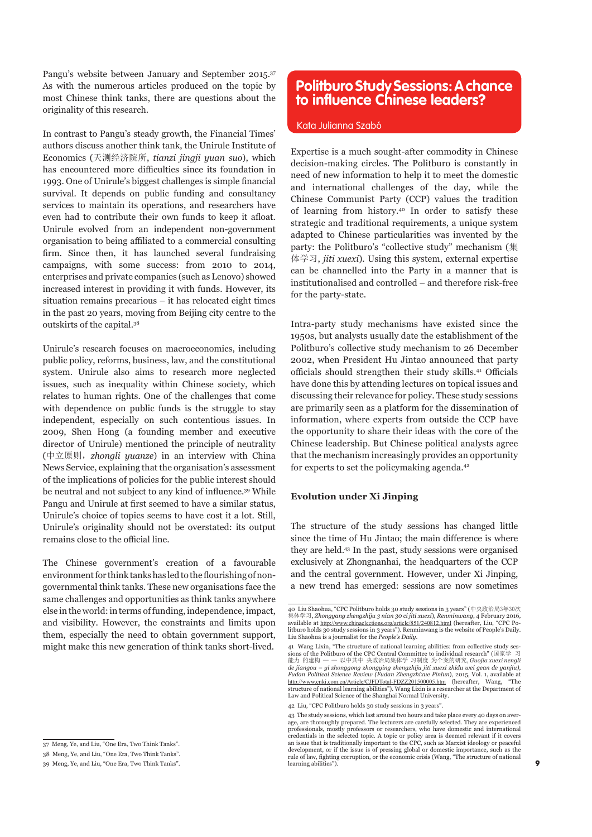Pangu's website between January and September 2015.37 As with the numerous articles produced on the topic by most Chinese think tanks, there are questions about the originality of this research.

In contrast to Pangu's steady growth, the Financial Times' authors discuss another think tank, the Unirule Institute of Economics (天测经济院所, *tianzi jingji yuan suo*), which has encountered more difficulties since its foundation in 1993. One of Unirule's biggest challenges is simple financial survival. It depends on public funding and consultancy services to maintain its operations, and researchers have even had to contribute their own funds to keep it afloat. Unirule evolved from an independent non-government organisation to being affiliated to a commercial consulting firm. Since then, it has launched several fundraising campaigns, with some success: from 2010 to 2014, enterprises and private companies (such as Lenovo) showed increased interest in providing it with funds. However, its situation remains precarious – it has relocated eight times in the past 20 years, moving from Beijing city centre to the outskirts of the capital.38

Unirule's research focuses on macroeconomics, including public policy, reforms, business, law, and the constitutional system. Unirule also aims to research more neglected issues, such as inequality within Chinese society, which relates to human rights. One of the challenges that come with dependence on public funds is the struggle to stay independent, especially on such contentious issues. In 2009, Shen Hong (a founding member and executive director of Unirule) mentioned the principle of neutrality (中立原则,*zhongli yuanze*) in an interview with China News Service, explaining that the organisation's assessment of the implications of policies for the public interest should be neutral and not subject to any kind of influence.39 While Pangu and Unirule at first seemed to have a similar status, Unirule's choice of topics seems to have cost it a lot. Still, Unirule's originality should not be overstated: its output remains close to the official line.

The Chinese government's creation of a favourable environment for think tanks has led to the flourishing of nongovernmental think tanks. These new organisations face the same challenges and opportunities as think tanks anywhere else in the world: in terms of funding, independence, impact, and visibility. However, the constraints and limits upon them, especially the need to obtain government support, might make this new generation of think tanks short-lived.

### **Politburo Study Sessions: A chance to influence Chinese leaders?**

### Kata Julianna Szabó

Expertise is a much sought-after commodity in Chinese decision-making circles. The Politburo is constantly in need of new information to help it to meet the domestic and international challenges of the day, while the Chinese Communist Party (CCP) values the tradition of learning from history.40 In order to satisfy these strategic and traditional requirements, a unique system adapted to Chinese particularities was invented by the party: the Politburo's "collective study" mechanism (集 体学习, *jiti xuexi*). Using this system, external expertise can be channelled into the Party in a manner that is institutionalised and controlled – and therefore risk-free for the party-state.

Intra-party study mechanisms have existed since the 1950s, but analysts usually date the establishment of the Politburo's collective study mechanism to 26 December 2002, when President Hu Jintao announced that party officials should strengthen their study skills.<sup>41</sup> Officials have done this by attending lectures on topical issues and discussing their relevance for policy. These study sessions are primarily seen as a platform for the dissemination of information, where experts from outside the CCP have the opportunity to share their ideas with the core of the Chinese leadership. But Chinese political analysts agree that the mechanism increasingly provides an opportunity for experts to set the policymaking agenda.42

### **Evolution under Xi Jinping**

The structure of the study sessions has changed little since the time of Hu Jintao; the main difference is where they are held.43 In the past, study sessions were organised exclusively at Zhongnanhai, the headquarters of the CCP and the central government. However, under Xi Jinping, a new trend has emerged: sessions are now sometimes

42 Liu, "CPC Politburo holds 30 study sessions in 3 years".

<sup>37</sup> Meng, Ye, and Liu, "One Era, Two Think Tanks".

<sup>38</sup> Meng, Ye, and Liu, "One Era, Two Think Tanks".

<sup>39</sup> Meng, Ye, and Liu, "One Era, Two Think Tanks".

<sup>40</sup> Liu Shaohua, "CPC Politburo holds 30 study sessions in 3 years" (中央政治局3年30次 集体学习, *Zhongyang zhengzhiju 3 nian 30 ci jiti xuexi*), *Renminwang*, 4 February 2016, available at http://www.chinaelections.org/article/851/240812.html (hereafter, Liu, "CPC Politburo holds 30 study sessions in 3 years"). Renminwang is the website of People's Daily. Liu Shaohua is a journalist for the *People's Daily*.

<sup>41</sup> Wang Lixin, "The structure of national learning abilities: from collective study sessions of the Politburo of the CPC Central Committee to individual research" (国家学<br>能力 的建构 — — 以中共中 央政治局集体学 习制度 为个案的研究 *Guojia yueyi ne* 能力 的建构 — — 以中共中 央政治局集体学 习制度 为个案的研究, *Guojia xuexi nengli de jiangou – yi zhonggong zhongying zhengzhiju jiti xuexi zhidu wei gean de yanjiu), Fudan Political Science Review (Fudan Zhengzhixue Pinlun*), 2015, Vol. 1, available at http://www.cnki.com.cn/Article/CJFDTotal-FDZZ201500005.htm (hereafter, Wang, "The structure of national learning abilities"). Wang Lixin is a researcher at the Department of Law and Political Science of the Shanghai Normal University.

<sup>43</sup> The study sessions, which last around two hours and take place every 40 days on average, are thoroughly prepared. The lecturers are carefully selected. They are experienced professionals, mostly professors or researchers, who have domestic and international credentials in the selected topic. A topic or policy area is deemed relevant if it covers an issue that is traditionally important to the CPC, such as Marxist ideology or peaceful<br>development, or if the issue is of pressing global or domestic importance, such as the<br>rule of law, fighting corruption, or the econ learning abilities").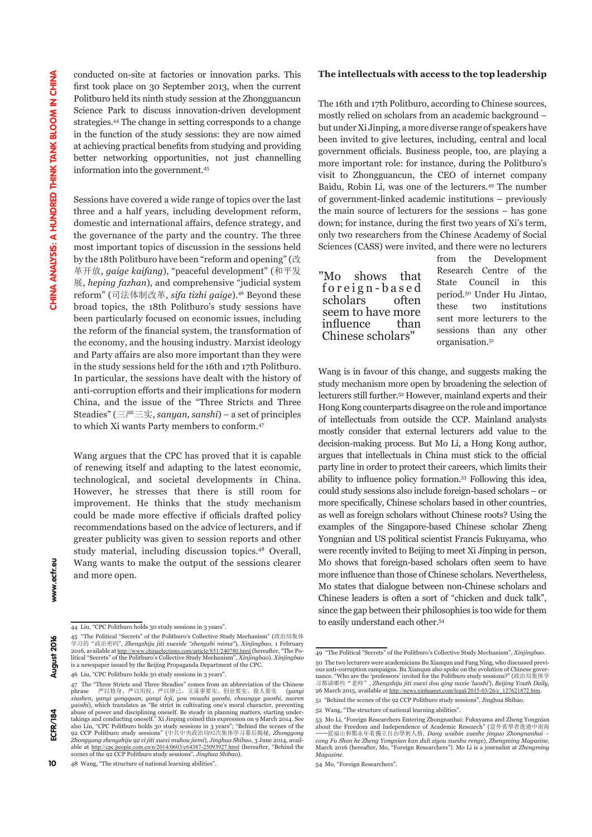conducted on-site at factories or innovation parks. This first took place on 30 September 2013, when the current Politburo held its ninth study session at the Zhongguancun Science Park to discuss innovation-driven development strategies.44 The change in setting corresponds to a change in the function of the study sessions: they are now aimed at achieving practical benefits from studying and providing better networking opportunities, not just channelling information into the government.45

Sessions have covered a wide range of topics over the last three and a half years, including development reform, domestic and international affairs, defence strategy, and the governance of the party and the country. The three most important topics of discussion in the sessions held by the 18th Politburo have been "reform and opening" (改 革开放, *gaige kaifang*), "peaceful development" (和平发 展, *heping fazhan*), and comprehensive "judicial system reform" (司法体制改革, *sifa tizhi gaige*).46 Beyond these broad topics, the 18th Politburo's study sessions have been particularly focused on economic issues, including the reform of the financial system, the transformation of the economy, and the housing industry. Marxist ideology and Party affairs are also more important than they were in the study sessions held for the 16th and 17th Politburo. In particular, the sessions have dealt with the history of anti-corruption efforts and their implications for modern China, and the issue of the "Three Stricts and Three Steadies" (三严三实, *sanyan, sanshi*) – a set of principles to which Xi wants Party members to conform.47

Wang argues that the CPC has proved that it is capable of renewing itself and adapting to the latest economic, technological, and societal developments in China. However, he stresses that there is still room for improvement. He thinks that the study mechanism could be made more effective if officials drafted policy recommendations based on the advice of lecturers, and if greater publicity was given to session reports and other study material, including discussion topics.48 Overall, Wang wants to make the output of the sessions clearer and more open.

46 Liu, "CPC Politburo holds 30 study sessions in 3 years".

#### **The intellectuals with access to the top leadership**

The 16th and 17th Politburo, according to Chinese sources, mostly relied on scholars from an academic background – but under Xi Jinping, a more diverse range of speakers have been invited to give lectures, including, central and local government officials. Business people, too, are playing a more important role: for instance, during the Politburo's visit to Zhongguancun, the CEO of internet company Baidu, Robin Li, was one of the lecturers.49 The number of government-linked academic institutions – previously the main source of lecturers for the sessions – has gone down; for instance, during the first two years of Xi's term, only two researchers from the Chinese Academy of Social Sciences (CASS) were invited, and there were no lecturers

|                   | "Mo shows that    |      |
|-------------------|-------------------|------|
|                   | foreign-based     |      |
|                   | scholars often    |      |
|                   | seem to have more |      |
| influence         |                   | than |
| Chinese scholars" |                   |      |

from the Development Research Centre of the State Council in this period.50 Under Hu Jintao, these two institutions sent more lecturers to the sessions than any other organisation.51

Wang is in favour of this change, and suggests making the study mechanism more open by broadening the selection of lecturers still further.52 However, mainland experts and their Hong Kong counterparts disagree on the role and importance of intellectuals from outside the CCP. Mainland analysts mostly consider that external lecturers add value to the decision-making process. But Mo Li, a Hong Kong author, argues that intellectuals in China must stick to the official party line in order to protect their careers, which limits their ability to influence policy formation.53 Following this idea, could study sessions also include foreign-based scholars – or more specifically, Chinese scholars based in other countries, as well as foreign scholars without Chinese roots? Using the examples of the Singapore-based Chinese scholar Zheng Yongnian and US political scientist Francis Fukuyama, who were recently invited to Beijing to meet Xi Jinping in person, Mo shows that foreign-based scholars often seem to have more influence than those of Chinese scholars. Nevertheless, Mo states that dialogue between non-Chinese scholars and Chinese leaders is often a sort of "chicken and duck talk", since the gap between their philosophies is too wide for them to easily understand each other.54

10

<sup>44</sup> Liu, "CPC Politburo holds 30 study sessions in 3 years".

<sup>45 &</sup>quot;The Political "Secrets" of the Politburo's Collective Study Mechanism" (政治局集体 学习的"政治密码", *Zhengzhiju jiti xuexide "zhengzhi mima"*), *Xinjingbao*, 1 February 2016, available at http://www.chinaelections.com/article/851/240780.html (hereafter, "The Political "Secrets" of the Politburo's Collective Study Mechanism", *Xinjingbao*). *Xinjingbao* is a newspaper issued by the Beijing Propaganda Department of the CPC.

<sup>47</sup> The "Three Stricts and Three Steadies" comes from an abbreviation of the Chinese<br>phrase ア以修身、严以用权、严以律己,又谋事要实、创业要实、做人要实 (yany phrase 严以修身、严以用权、严以律己,又谋事要实、创业要实、做人要实 (*yanyi*  xiushen, yanyi yongquan, yanyi lvji, you moushi yaoshi, chuangye yaoshi, zuoren<br>yaoshi), which translates as "Be strict in cultivating one's moral character, preventing<br>abuse of power and disciplining oneself. Be steady in takings and conducting oneself." Xi Jinping coined this expression on 9 March 2014. See<br>also Liu, "CPC Politburo holds 30 study sessions in 3 years", "Behind the scenes of the<br>92 CCP Politburo study sessions" (中共中央政治局92次集 able at http://cpc.people.com.cn/n/2014/0603/c64387-25093927.html (hereafter, "Behind the scenes of the 92 CCP Politburo study sessions", *Jinghua Shibao*).

<sup>48</sup> Wang, "The structure of national learning abilities".

<sup>49 &</sup>quot;The Political "Secrets" of the Politburo's Collective Study Mechanism", *Xinjingbao*. 50 The two lecturers were academicians Bu Xianqun and Fang Ning, who discussed previous anti-corruption campaigns. Bu Xianqun also spoke on the evolution of Chinese gover-nance. "Who are the 'professors' invited for the Politburo study sessions?" (政治局集体学 习都请哪些"老师", *Zhengzhiju jiti xuexi dou qing naxie 'laoshi'*), *Beijing Youth Daily*, 26 March 2015, available at http://news.xinhuanet.com/legal/2015-03/26/c\_127621872.htm.

<sup>51 &</sup>quot;Behind the scenes of the 92 CCP Politburo study sessions", Jinghua Shibao.

<sup>52</sup> Wang, "The structure of national learning abilities".

<sup>53</sup> Mo Li, "Foreign Researchers Entering Zhongnanhai: Fukuyama and Zheng Yongnian about the Freedom and Independence of Academic Research" (當外賓學者進過中南海 ──從福山和鄭永年看獨立自由學術人格, *Dang waibin xuezhe jinguo Zhongnanhai – cong Fu Shan he Zheng Yongnian kan duli ziyou xueshu renge*), *Zhengming Magazine*, March 2016 (hereafter, Mo, "Foreign Researchers"). Mo Li is a journalist at *Zhengming Magazine*.

<sup>54</sup> Mo, "Foreign Researchers".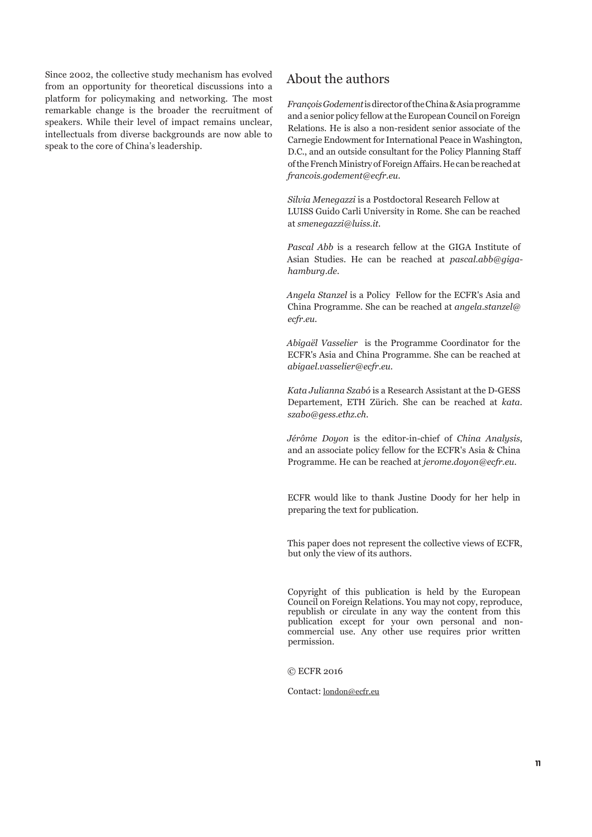Since 2002, the collective study mechanism has evolved from an opportunity for theoretical discussions into a platform for policymaking and networking. The most remarkable change is the broader the recruitment of speakers. While their level of impact remains unclear, intellectuals from diverse backgrounds are now able to speak to the core of China's leadership.

### About the authors

*François Godement* is director of the China & Asia programme and a senior policy fellow at the European Council on Foreign Relations. He is also a non-resident senior associate of the Carnegie Endowment for International Peace in Washington, D.C., and an outside consultant for the Policy Planning Staff of the French Ministry of Foreign Affairs. He can be reached at *francois.godement@ecfr.eu*.

*Silvia Menegazzi* is a Postdoctoral Research Fellow at LUISS Guido Carli University in Rome. She can be reached at *smenegazzi@luiss.it.*

*Pascal Abb* is a research fellow at the GIGA Institute of Asian Studies. He can be reached at *pascal.abb@gigahamburg.de.*

*Angela Stanzel* is a Policy Fellow for the ECFR's Asia and China Programme. She can be reached at *angela.stanzel@ ecfr.eu.*

*Abigaël Vasselier* is the Programme Coordinator for the ECFR's Asia and China Programme. She can be reached at *abigael.vasselier@ecfr.eu.*

*Kata Julianna Szabó* is a Research Assistant at the D-GESS Departement, ETH Zürich. She can be reached at *kata. szabo@gess.ethz.ch*.

*Jérôme Doyon* is the editor-in-chief of *China Analysis*, and an associate policy fellow for the ECFR's Asia & China Programme. He can be reached at *jerome.doyon@ecfr.eu*.

ECFR would like to thank Justine Doody for her help in preparing the text for publication.

This paper does not represent the collective views of ECFR, but only the view of its authors.

Copyright of this publication is held by the European Council on Foreign Relations. You may not copy, reproduce, republish or circulate in any way the content from this publication except for your own personal and noncommercial use. Any other use requires prior written permission.

© ECFR 2016

Contact: london@ecfr.eu